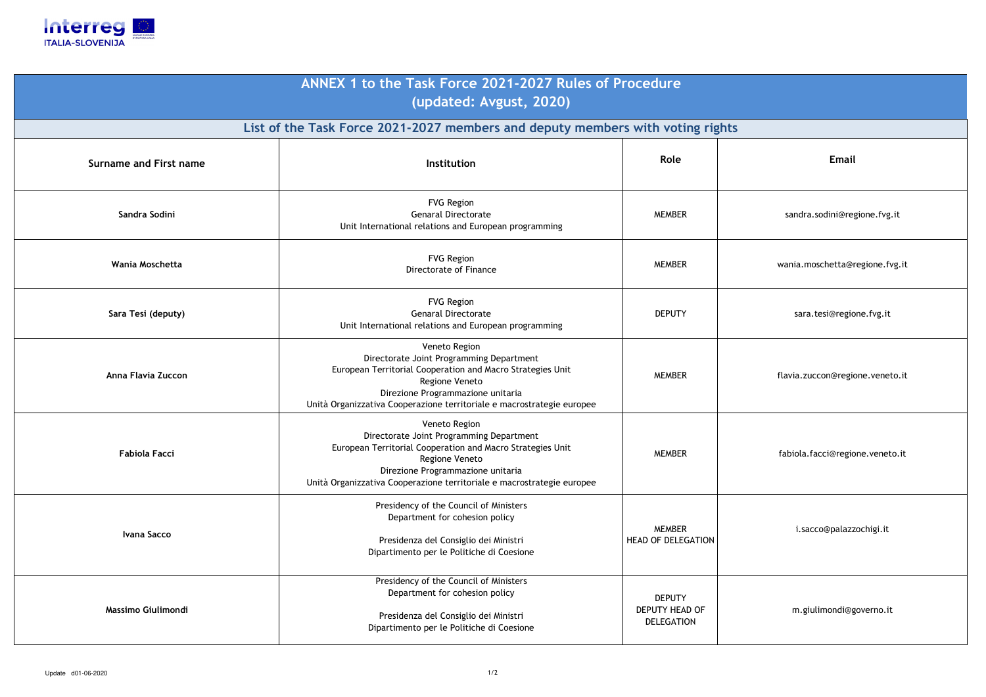

| ANNEX 1 to the Task Force 2021-2027 Rules of Procedure<br>(updated: Avgust, 2020) |                                                                                                                                                                                                                                                          |                                                             |  |  |
|-----------------------------------------------------------------------------------|----------------------------------------------------------------------------------------------------------------------------------------------------------------------------------------------------------------------------------------------------------|-------------------------------------------------------------|--|--|
| List of the Task Force 2021-2027 members and deputy members with voting rights    |                                                                                                                                                                                                                                                          |                                                             |  |  |
| <b>Surname and First name</b>                                                     | <b>Institution</b>                                                                                                                                                                                                                                       | Role                                                        |  |  |
| Sandra Sodini                                                                     | <b>FVG Region</b><br><b>Genaral Directorate</b><br>Unit International relations and European programming                                                                                                                                                 | <b>MEMBER</b>                                               |  |  |
| Wania Moschetta                                                                   | <b>FVG Region</b><br>Directorate of Finance                                                                                                                                                                                                              | <b>MEMBER</b>                                               |  |  |
| Sara Tesi (deputy)                                                                | <b>FVG Region</b><br><b>Genaral Directorate</b><br>Unit International relations and European programming                                                                                                                                                 | <b>DEPUTY</b>                                               |  |  |
| Anna Flavia Zuccon                                                                | Veneto Region<br>Directorate Joint Programming Department<br>European Territorial Cooperation and Macro Strategies Unit<br>Regione Veneto<br>Direzione Programmazione unitaria<br>Unità Organizzativa Cooperazione territoriale e macrostrategie europee | <b>MEMBER</b>                                               |  |  |
| <b>Fabiola Facci</b>                                                              | Veneto Region<br>Directorate Joint Programming Department<br>European Territorial Cooperation and Macro Strategies Unit<br>Regione Veneto<br>Direzione Programmazione unitaria<br>Unità Organizzativa Cooperazione territoriale e macrostrategie europee | <b>MEMBER</b>                                               |  |  |
| Ivana Sacco                                                                       | Presidency of the Council of Ministers<br>Department for cohesion policy<br>Presidenza del Consiglio dei Ministri<br>Dipartimento per le Politiche di Coesione                                                                                           | <b>MEMBER</b><br><b>HEAD OF DELEGATION</b>                  |  |  |
| Massimo Giulimondi                                                                | Presidency of the Council of Ministers<br>Department for cohesion policy<br>Presidenza del Consiglio dei Ministri<br>Dipartimento per le Politiche di Coesione                                                                                           | <b>DEPUTY</b><br><b>DEPUTY HEAD OF</b><br><b>DELEGATION</b> |  |  |

i.sacco@palazzochigi.it

m.giulimondi@governo.it

## **Email**

sandra.sodini@regione.fvg.it

wania.moschetta@regione.fvg.it

sara.tesi@regione.fvg.it

flavia.zuccon@regione.veneto.it

fabiola.facci@regione.veneto.it